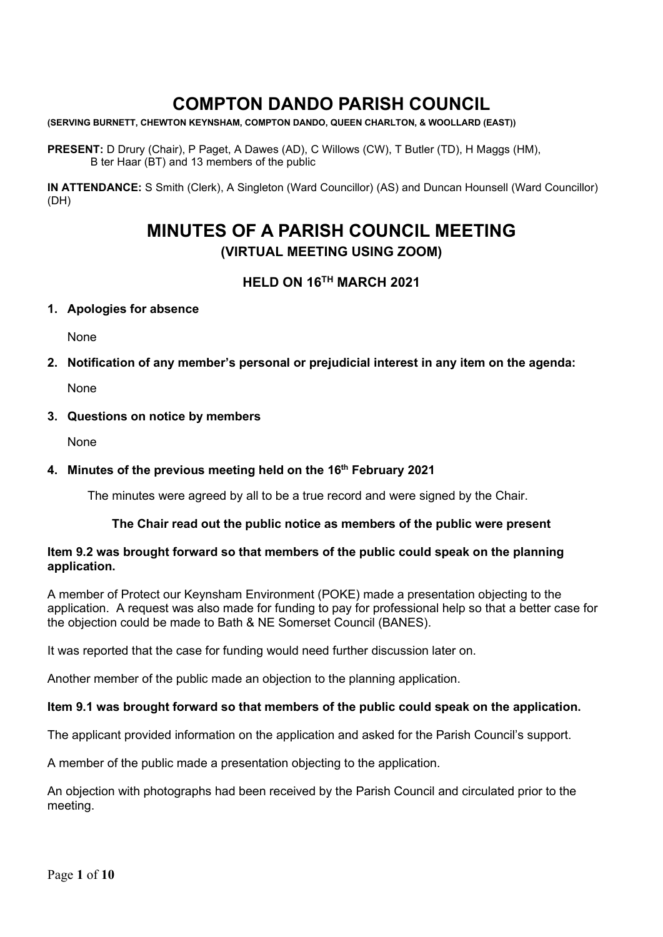# **COMPTON DANDO PARISH COUNCIL**

**(SERVING BURNETT, CHEWTON KEYNSHAM, COMPTON DANDO, QUEEN CHARLTON, & WOOLLARD (EAST))**

**PRESENT:** D Drury (Chair), P Paget, A Dawes (AD), C Willows (CW), T Butler (TD), H Maggs (HM), B ter Haar (BT) and 13 members of the public

**IN ATTENDANCE:** S Smith (Clerk), A Singleton (Ward Councillor) (AS) and Duncan Hounsell (Ward Councillor) (DH)

# **MINUTES OF A PARISH COUNCIL MEETING (VIRTUAL MEETING USING ZOOM)**

## **HELD ON 16TH MARCH 2021**

#### **1. Apologies for absence**

None

**2. Notification of any member's personal or prejudicial interest in any item on the agenda:**

None

#### **3. Questions on notice by members**

None

#### **4. Minutes of the previous meeting held on the 16th February 2021**

The minutes were agreed by all to be a true record and were signed by the Chair.

#### **The Chair read out the public notice as members of the public were present**

#### **Item 9.2 was brought forward so that members of the public could speak on the planning application.**

A member of Protect our Keynsham Environment (POKE) made a presentation objecting to the application. A request was also made for funding to pay for professional help so that a better case for the objection could be made to Bath & NE Somerset Council (BANES).

It was reported that the case for funding would need further discussion later on.

Another member of the public made an objection to the planning application.

#### **Item 9.1 was brought forward so that members of the public could speak on the application.**

The applicant provided information on the application and asked for the Parish Council's support.

A member of the public made a presentation objecting to the application.

An objection with photographs had been received by the Parish Council and circulated prior to the meeting.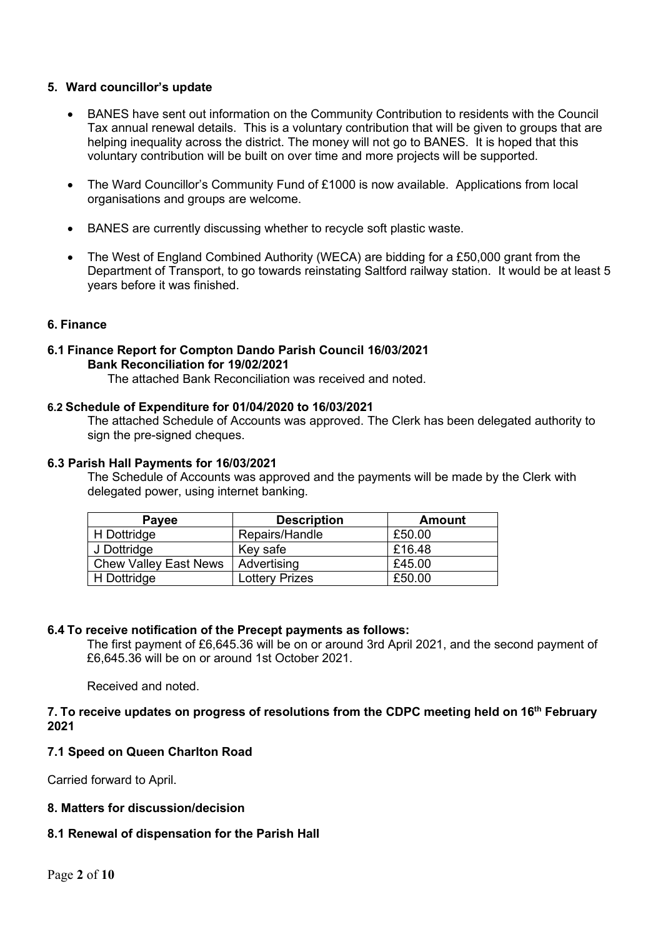#### **5. Ward councillor's update**

- BANES have sent out information on the Community Contribution to residents with the Council Tax annual renewal details. This is a voluntary contribution that will be given to groups that are helping inequality across the district. The money will not go to BANES. It is hoped that this voluntary contribution will be built on over time and more projects will be supported.
- The Ward Councillor's Community Fund of £1000 is now available. Applications from local organisations and groups are welcome.
- BANES are currently discussing whether to recycle soft plastic waste.
- The West of England Combined Authority (WECA) are bidding for a £50,000 grant from the Department of Transport, to go towards reinstating Saltford railway station. It would be at least 5 years before it was finished.

#### **6. Finance**

# **6.1 Finance Report for Compton Dando Parish Council 16/03/2021 Bank Reconciliation for 19/02/2021**

The attached Bank Reconciliation was received and noted.

#### **6.2 Schedule of Expenditure for 01/04/2020 to 16/03/2021**

The attached Schedule of Accounts was approved. The Clerk has been delegated authority to sign the pre-signed cheques.

#### **6.3 Parish Hall Payments for 16/03/2021**

The Schedule of Accounts was approved and the payments will be made by the Clerk with delegated power, using internet banking.

| Payee                        | <b>Description</b>    | Amount |
|------------------------------|-----------------------|--------|
| H Dottridge                  | Repairs/Handle        | £50.00 |
| J Dottridge                  | Key safe              | £16.48 |
| <b>Chew Valley East News</b> | Advertising           | £45.00 |
| H Dottridge                  | <b>Lottery Prizes</b> | £50.00 |

#### **6.4 To receive notification of the Precept payments as follows:**

The first payment of £6,645.36 will be on or around 3rd April 2021, and the second payment of £6,645.36 will be on or around 1st October 2021.

Received and noted.

#### **7. To receive updates on progress of resolutions from the CDPC meeting held on 16th February 2021**

#### **7.1 Speed on Queen Charlton Road**

Carried forward to April.

#### **8. Matters for discussion/decision**

#### **8.1 Renewal of dispensation for the Parish Hall**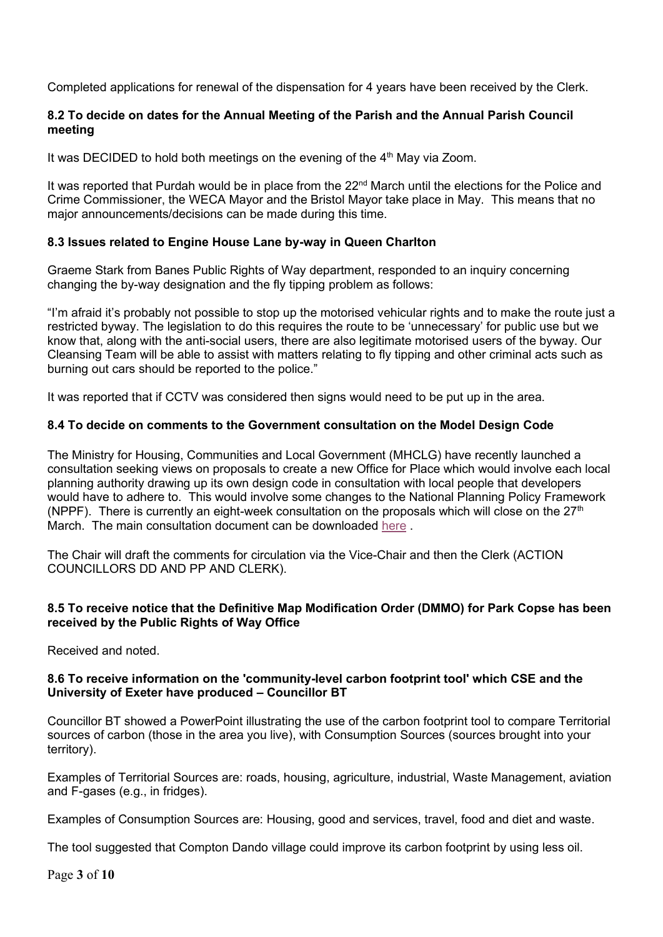Completed applications for renewal of the dispensation for 4 years have been received by the Clerk.

#### **8.2 To decide on dates for the Annual Meeting of the Parish and the Annual Parish Council meeting**

It was DECIDED to hold both meetings on the evening of the 4<sup>th</sup> May via Zoom.

It was reported that Purdah would be in place from the 22<sup>nd</sup> March until the elections for the Police and Crime Commissioner, the WECA Mayor and the Bristol Mayor take place in May. This means that no major announcements/decisions can be made during this time.

#### **8.3 Issues related to Engine House Lane by-way in Queen Charlton**

Graeme Stark from Banes Public Rights of Way department, responded to an inquiry concerning changing the by-way designation and the fly tipping problem as follows:

"I'm afraid it's probably not possible to stop up the motorised vehicular rights and to make the route just a restricted byway. The legislation to do this requires the route to be 'unnecessary' for public use but we know that, along with the anti-social users, there are also legitimate motorised users of the byway. Our Cleansing Team will be able to assist with matters relating to fly tipping and other criminal acts such as burning out cars should be reported to the police."

It was reported that if CCTV was considered then signs would need to be put up in the area.

### **8.4 To decide on comments to the Government consultation on the Model Design Code**

The Ministry for Housing, Communities and Local Government (MHCLG) have recently launched a consultation seeking views on proposals to create a new Office for Place which would involve each local planning authority drawing up its own design code in consultation with local people that developers would have to adhere to. This would involve some changes to the National Planning Policy Framework (NPPF). There is currently an eight-week consultation on the proposals which will close on the  $27<sup>th</sup>$ March. The main consultation document can be downloaded [here](https://www.gov.uk/government/consultations/national-planning-policy-framework-and-national-model-design-code-consultation-proposals) .

The Chair will draft the comments for circulation via the Vice-Chair and then the Clerk (ACTION COUNCILLORS DD AND PP AND CLERK).

#### **8.5 To receive notice that the Definitive Map Modification Order (DMMO) for Park Copse has been received by the Public Rights of Way Office**

Received and noted.

#### **8.6 To receive information on the 'community-level carbon footprint tool' which CSE and the University of Exeter have produced – Councillor BT**

Councillor BT showed a PowerPoint illustrating the use of the carbon footprint tool to compare Territorial sources of carbon (those in the area you live), with Consumption Sources (sources brought into your territory).

Examples of Territorial Sources are: roads, housing, agriculture, industrial, Waste Management, aviation and F-gases (e.g., in fridges).

Examples of Consumption Sources are: Housing, good and services, travel, food and diet and waste.

The tool suggested that Compton Dando village could improve its carbon footprint by using less oil.

Page **3** of **10**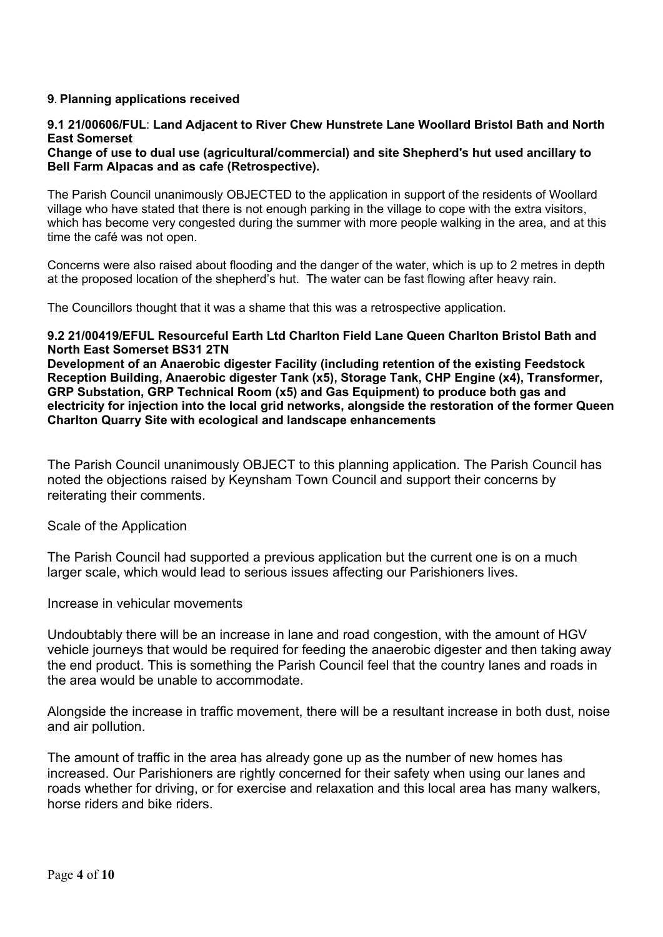#### **9. Planning applications received**

### **9.1 21/00606/FUL**: **Land Adjacent to River Chew Hunstrete Lane Woollard Bristol Bath and North East Somerset**

#### **Change of use to dual use (agricultural/commercial) and site Shepherd's hut used ancillary to Bell Farm Alpacas and as cafe (Retrospective).**

The Parish Council unanimously OBJECTED to the application in support of the residents of Woollard village who have stated that there is not enough parking in the village to cope with the extra visitors, which has become very congested during the summer with more people walking in the area, and at this time the café was not open.

Concerns were also raised about flooding and the danger of the water, which is up to 2 metres in depth at the proposed location of the shepherd's hut. The water can be fast flowing after heavy rain.

The Councillors thought that it was a shame that this was a retrospective application.

#### **9.2 21/00419/EFUL Resourceful Earth Ltd Charlton Field Lane Queen Charlton Bristol Bath and North East Somerset BS31 2TN**

**Development of an Anaerobic digester Facility (including retention of the existing Feedstock Reception Building, Anaerobic digester Tank (x5), Storage Tank, CHP Engine (x4), Transformer, GRP Substation, GRP Technical Room (x5) and Gas Equipment) to produce both gas and electricity for injection into the local grid networks, alongside the restoration of the former Queen Charlton Quarry Site with ecological and landscape enhancements**

The Parish Council unanimously OBJECT to this planning application. The Parish Council has noted the objections raised by Keynsham Town Council and support their concerns by reiterating their comments.

#### Scale of the Application

The Parish Council had supported a previous application but the current one is on a much larger scale, which would lead to serious issues affecting our Parishioners lives.

Increase in vehicular movements

Undoubtably there will be an increase in lane and road congestion, with the amount of HGV vehicle journeys that would be required for feeding the anaerobic digester and then taking away the end product. This is something the Parish Council feel that the country lanes and roads in the area would be unable to accommodate.

Alongside the increase in traffic movement, there will be a resultant increase in both dust, noise and air pollution.

The amount of traffic in the area has already gone up as the number of new homes has increased. Our Parishioners are rightly concerned for their safety when using our lanes and roads whether for driving, or for exercise and relaxation and this local area has many walkers, horse riders and bike riders.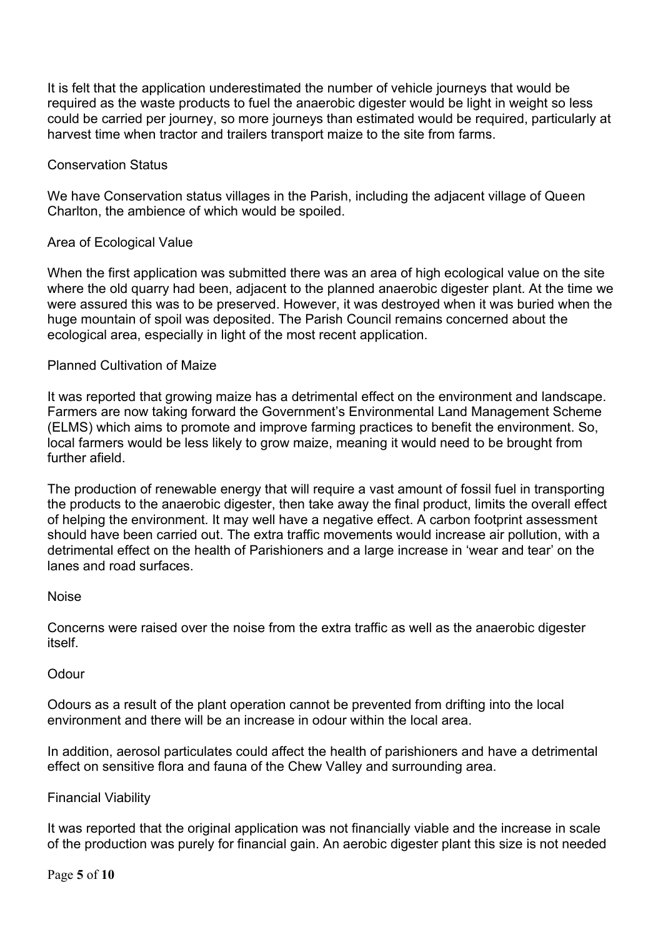It is felt that the application underestimated the number of vehicle journeys that would be required as the waste products to fuel the anaerobic digester would be light in weight so less could be carried per journey, so more journeys than estimated would be required, particularly at harvest time when tractor and trailers transport maize to the site from farms.

## Conservation Status

We have Conservation status villages in the Parish, including the adjacent village of Queen Charlton, the ambience of which would be spoiled.

## Area of Ecological Value

When the first application was submitted there was an area of high ecological value on the site where the old quarry had been, adjacent to the planned anaerobic digester plant. At the time we were assured this was to be preserved. However, it was destroyed when it was buried when the huge mountain of spoil was deposited. The Parish Council remains concerned about the ecological area, especially in light of the most recent application.

### Planned Cultivation of Maize

It was reported that growing maize has a detrimental effect on the environment and landscape. Farmers are now taking forward the Government's Environmental Land Management Scheme (ELMS) which aims to promote and improve farming practices to benefit the environment. So, local farmers would be less likely to grow maize, meaning it would need to be brought from further afield.

The production of renewable energy that will require a vast amount of fossil fuel in transporting the products to the anaerobic digester, then take away the final product, limits the overall effect of helping the environment. It may well have a negative effect. A carbon footprint assessment should have been carried out. The extra traffic movements would increase air pollution, with a detrimental effect on the health of Parishioners and a large increase in 'wear and tear' on the lanes and road surfaces.

#### Noise

Concerns were raised over the noise from the extra traffic as well as the anaerobic digester itself.

#### **Odour**

Odours as a result of the plant operation cannot be prevented from drifting into the local environment and there will be an increase in odour within the local area.

In addition, aerosol particulates could affect the health of parishioners and have a detrimental effect on sensitive flora and fauna of the Chew Valley and surrounding area.

#### Financial Viability

It was reported that the original application was not financially viable and the increase in scale of the production was purely for financial gain. An aerobic digester plant this size is not needed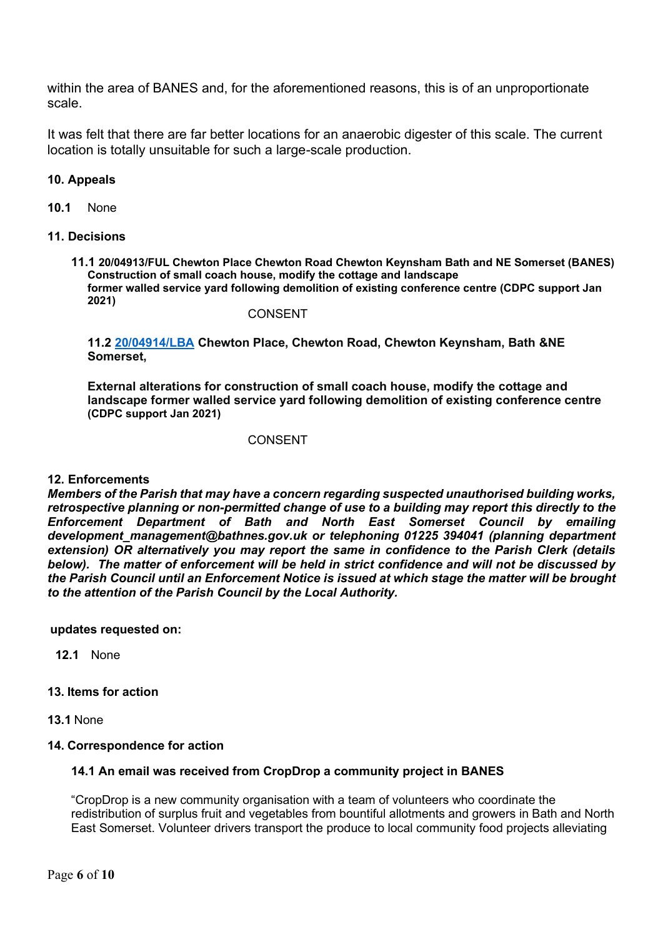within the area of BANES and, for the aforementioned reasons, this is of an unproportionate scale.

It was felt that there are far better locations for an anaerobic digester of this scale. The current location is totally unsuitable for such a large-scale production.

#### **10. Appeals**

**10.1** None

#### **11. Decisions**

**11.1 20/04913/FUL Chewton Place Chewton Road Chewton Keynsham Bath and NE Somerset (BANES) Construction of small coach house, modify the cottage and landscape former walled service yard following demolition of existing conference centre (CDPC support Jan 2021)**

#### CONSENT

**11.2 [20/04914/LBA](https://www.bathnes.gov.uk/webforms/planning/details.html?refval=20%2F04914%2FLBA) Chewton Place, Chewton Road, Chewton Keynsham, Bath &NE Somerset,**

**External alterations for construction of small coach house, modify the cottage and landscape former walled service yard following demolition of existing conference centre (CDPC support Jan 2021)**

#### CONSENT

#### **12. Enforcements**

*Members of the Parish that may have a concern regarding suspected unauthorised building works, retrospective planning or non-permitted change of use to a building may report this directly to the Enforcement Department of Bath and North East Somerset Council by emailing development\_management@bathnes.gov.uk or telephoning 01225 394041 (planning department extension) OR alternatively you may report the same in confidence to the Parish Clerk (details below). The matter of enforcement will be held in strict confidence and will not be discussed by the Parish Council until an Enforcement Notice is issued at which stage the matter will be brought to the attention of the Parish Council by the Local Authority.*

#### **updates requested on:**

**12.1** None

### **13. Items for action**

**13.1** None

#### **14. Correspondence for action**

#### **14.1 An email was received from CropDrop a community project in BANES**

"CropDrop is a new community organisation with a team of volunteers who coordinate the redistribution of surplus fruit and vegetables from bountiful allotments and growers in Bath and North East Somerset. Volunteer drivers transport the produce to local community food projects alleviating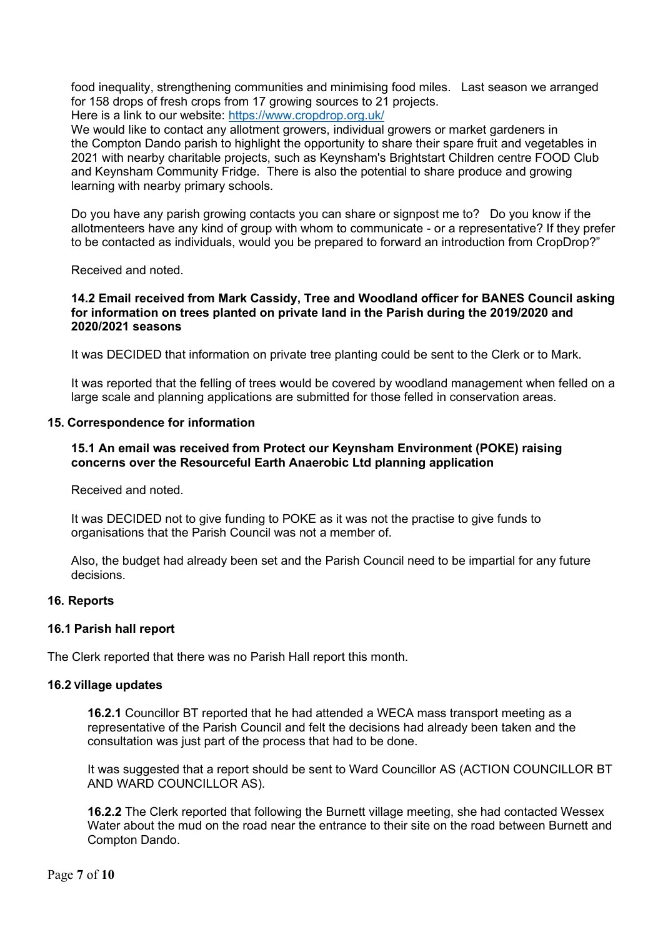food inequality, strengthening communities and minimising food miles. Last season we arranged for 158 drops of fresh crops from 17 growing sources to 21 projects.

Here is a link to our website: <https://www.cropdrop.org.uk/>

We would like to contact any allotment growers, individual growers or market gardeners in the Compton Dando parish to highlight the opportunity to share their spare fruit and vegetables in 2021 with nearby charitable projects, such as Keynsham's Brightstart Children centre FOOD Club and Keynsham Community Fridge. There is also the potential to share produce and growing learning with nearby primary schools.

Do you have any parish growing contacts you can share or signpost me to? Do you know if the allotmenteers have any kind of group with whom to communicate - or a representative? If they prefer to be contacted as individuals, would you be prepared to forward an introduction from CropDrop?"

Received and noted.

#### **14.2 Email received from Mark Cassidy, Tree and Woodland officer for BANES Council asking for information on trees planted on private land in the Parish during the 2019/2020 and 2020/2021 seasons**

It was DECIDED that information on private tree planting could be sent to the Clerk or to Mark.

It was reported that the felling of trees would be covered by woodland management when felled on a large scale and planning applications are submitted for those felled in conservation areas.

#### **15. Correspondence for information**

#### **15.1 An email was received from Protect our Keynsham Environment (POKE) raising concerns over the Resourceful Earth Anaerobic Ltd planning application**

Received and noted.

It was DECIDED not to give funding to POKE as it was not the practise to give funds to organisations that the Parish Council was not a member of.

Also, the budget had already been set and the Parish Council need to be impartial for any future decisions.

#### **16. Reports**

#### **16.1 Parish hall report**

The Clerk reported that there was no Parish Hall report this month.

#### **16.2 Village updates**

**16.2.1** Councillor BT reported that he had attended a WECA mass transport meeting as a representative of the Parish Council and felt the decisions had already been taken and the consultation was just part of the process that had to be done.

It was suggested that a report should be sent to Ward Councillor AS (ACTION COUNCILLOR BT AND WARD COUNCILLOR AS).

**16.2.2** The Clerk reported that following the Burnett village meeting, she had contacted Wessex Water about the mud on the road near the entrance to their site on the road between Burnett and Compton Dando.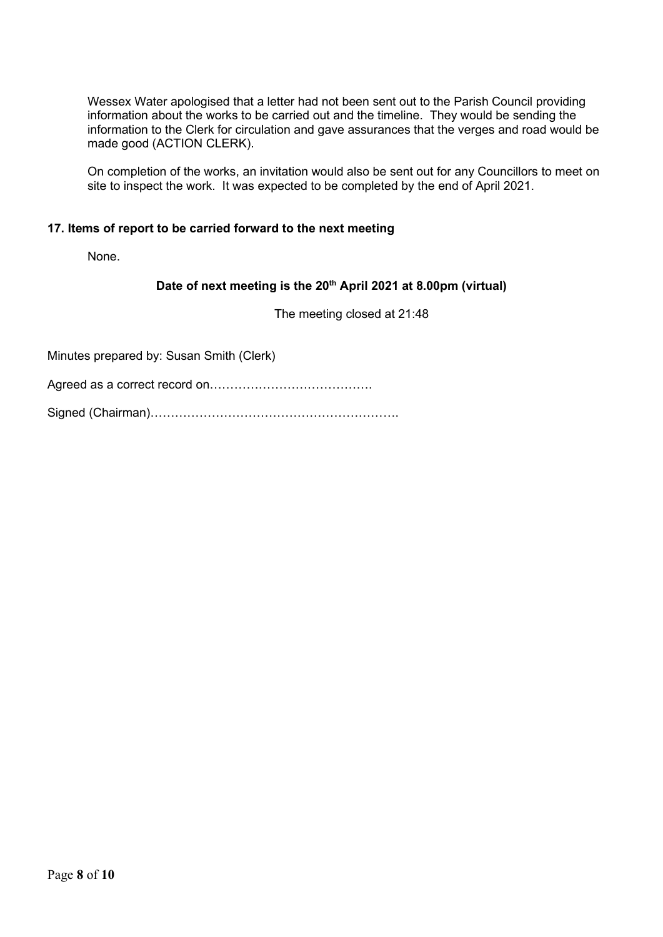Wessex Water apologised that a letter had not been sent out to the Parish Council providing information about the works to be carried out and the timeline. They would be sending the information to the Clerk for circulation and gave assurances that the verges and road would be made good (ACTION CLERK).

On completion of the works, an invitation would also be sent out for any Councillors to meet on site to inspect the work. It was expected to be completed by the end of April 2021.

#### **17. Items of report to be carried forward to the next meeting**

None.

### **Date of next meeting is the 20th April 2021 at 8.00pm (virtual)**

The meeting closed at 21:48

Minutes prepared by: Susan Smith (Clerk)

Agreed as a correct record on………………………………….

Signed (Chairman)…………………………………………………….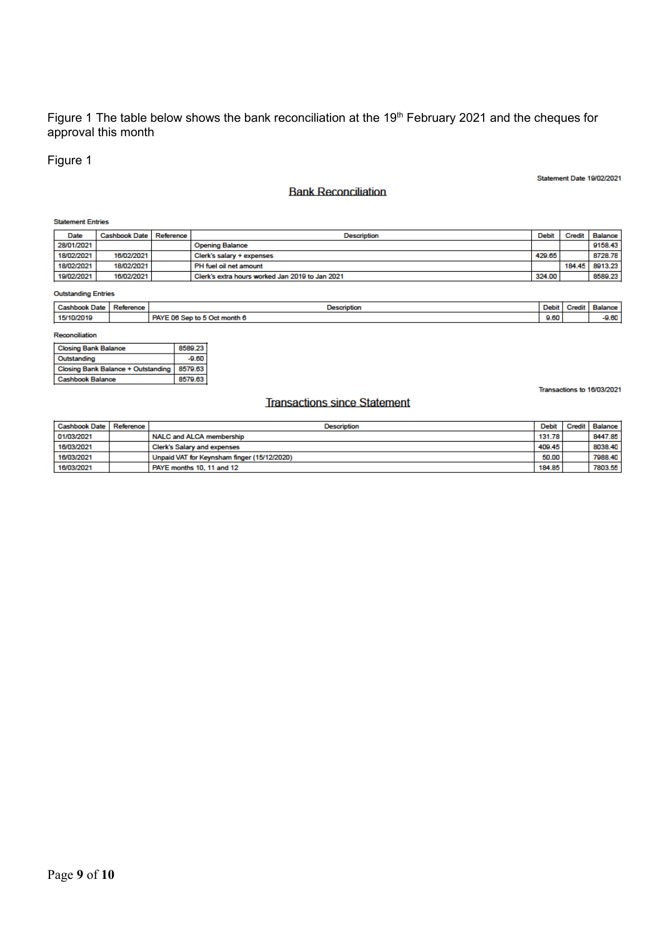#### Figure 1 The table below shows the bank reconciliation at the 19<sup>th</sup> February 2021 and the cheques for approval this month

# Figure 1

Statement Date 19/02/2021

#### **Bank Reconciliation**

#### **Statement Entries**

| Date       | Cashbook Date   Reference | Description                                     | Debit  | Credit | Balance |
|------------|---------------------------|-------------------------------------------------|--------|--------|---------|
| 28/01/2021 |                           | <b>Opening Balance</b>                          |        |        | 9158.43 |
| 18/02/2021 | 16/02/2021                | Clerk's salary + expenses                       | 429.65 |        | 8728.78 |
| 18/02/2021 | 18/02/2021                | PH fuel oil net amount                          |        | 184.45 | 8913.23 |
| 19/02/2021 | 16/02/2021                | Clerk's extra hours worked Jan 2019 to Jan 2021 | 324.00 |        | 8589.23 |

#### **Outstanding Entries**

| Cashboon<br>book Date: | Reference | $\sim$<br>$\overline{\phantom{a}}$<br><b>STATISTICS</b> | Debit | Credi | <b>Balance</b> |
|------------------------|-----------|---------------------------------------------------------|-------|-------|----------------|
| 15/10/2015             |           | 5 Oct month 6<br><b>PAY</b><br>- 06.91<br><b>CAR</b>    | 9.60  |       | n en<br>-8.00  |

#### Reconciliation

| <b>Closing Bank Balance</b>        | 8589.23 |
|------------------------------------|---------|
| Outstanding                        | $-9.60$ |
| Closing Bank Balance + Outstanding | 8579.63 |
| <b>Cashbook Balance</b>            | 8579.63 |

### **Transactions since Statement**

Transactions to 16/03/2021

| Cashbook Date   Reference | <b>Description</b>                          | Debit  | Credit   Balance |
|---------------------------|---------------------------------------------|--------|------------------|
| 01/03/2021                | NALC and ALCA membership                    | 131.78 | 8447.85          |
| 16/03/2021                | Clerk's Salary and expenses                 | 409.45 | 8038.40          |
| 16/03/2021                | Unpaid VAT for Keynsham finger (15/12/2020) | 50.00  | 7988.40          |
| 16/03/2021                | PAYE months 10, 11 and 12                   | 184.85 | 7803.55          |